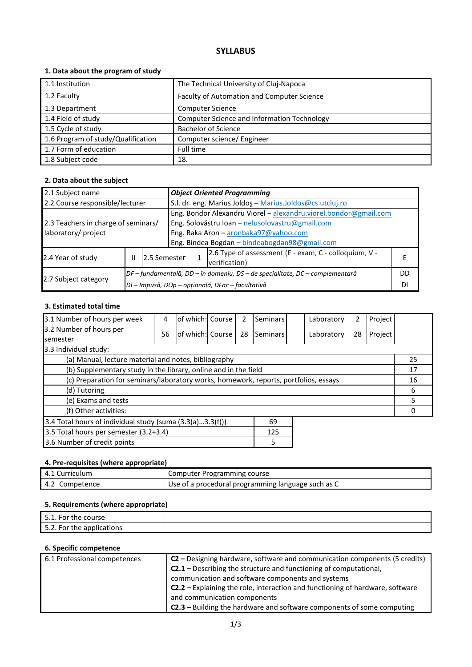# **SYLLABUS**

## **1. Data about the program of study**

| 1.1 Institution                    | The Technical University of Cluj-Napoca     |
|------------------------------------|---------------------------------------------|
| 1.2 Faculty                        | Faculty of Automation and Computer Science  |
| 1.3 Department                     | <b>Computer Science</b>                     |
| 1.4 Field of study                 | Computer Science and Information Technology |
| 1.5 Cycle of study                 | <b>Bachelor of Science</b>                  |
| 1.6 Program of study/Qualification | Computer science/ Engineer                  |
| 1.7 Form of education              | Full time                                   |
| 1.8 Subject code                   | 18.                                         |

### **2. Data about the subject**

| 2.1 Subject name                                                                       |  |                                                                              | <b>Object Oriented Programming</b>                               |  |                                                       |  |
|----------------------------------------------------------------------------------------|--|------------------------------------------------------------------------------|------------------------------------------------------------------|--|-------------------------------------------------------|--|
| 2.2 Course responsible/lecturer                                                        |  |                                                                              | S.l. dr. eng. Marius Joldos - Marius.Joldos@cs.utcluj.ro         |  |                                                       |  |
|                                                                                        |  |                                                                              | Eng. Bondor Alexandru Viorel - alexandru.viorel.bondor@gmail.com |  |                                                       |  |
| Eng. Solovăstru Ioan - nelusolovastru@gmail.com<br>2.3 Teachers in charge of seminars/ |  |                                                                              |                                                                  |  |                                                       |  |
| laboratory/ project                                                                    |  | Eng. Baka Aron - aronbaka97@yahoo.com                                        |                                                                  |  |                                                       |  |
|                                                                                        |  |                                                                              | Eng. Bindea Bogdan - bindeabogdan98@gmail.com                    |  |                                                       |  |
| 2.4 Year of study<br>Ш<br>2.5 Semester                                                 |  |                                                                              |                                                                  |  | 2.6 Type of assessment (E - exam, C - colloquium, V - |  |
|                                                                                        |  |                                                                              |                                                                  |  | verification)                                         |  |
|                                                                                        |  | DF – fundamentală, DD – în domeniu, DS – de specialitate, DC – complementară |                                                                  |  | DD                                                    |  |
| 2.7 Subject category                                                                   |  |                                                                              | DI - Impusă, DOp - opțională, DFac - facultativă                 |  | DI                                                    |  |

## **3. Estimated total time**

| 3.1 Number of hours per week                                                         | 4  | lof which: Course |  |    | Seminars | Laboratory | 2  | Project |    |
|--------------------------------------------------------------------------------------|----|-------------------|--|----|----------|------------|----|---------|----|
| 3.2 Number of hours per                                                              |    |                   |  |    |          |            |    |         |    |
| <b>semester</b>                                                                      | 56 | lof which: Course |  | 28 | Seminars | Laboratory | 28 | Project |    |
| 3.3 Individual study:                                                                |    |                   |  |    |          |            |    |         |    |
| (a) Manual, lecture material and notes, bibliography                                 |    |                   |  |    |          |            |    |         | 25 |
| (b) Supplementary study in the library, online and in the field                      |    |                   |  |    |          |            |    |         | 17 |
| (c) Preparation for seminars/laboratory works, homework, reports, portfolios, essays |    |                   |  |    |          | 16         |    |         |    |
| (d) Tutoring                                                                         |    |                   |  |    |          | 6          |    |         |    |
| (e) Exams and tests                                                                  |    |                   |  |    |          |            |    |         |    |
| (f) Other activities:                                                                |    |                   |  |    |          | O          |    |         |    |
| 3.4 Total hours of individual study (suma $(3.3(a)3.3(f)))$<br>69                    |    |                   |  |    |          |            |    |         |    |
| 3.5 Total hours per semester (3.2+3.4)<br>125                                        |    |                   |  |    |          |            |    |         |    |
| 3.6 Number of credit points<br>5                                                     |    |                   |  |    |          |            |    |         |    |

## **4. Pre-requisites (where appropriate)**

| 4.1 Curriculum | Computer Programming course                        |
|----------------|----------------------------------------------------|
| 4.2 Competence | Use of a procedural programming language such as C |

### **5. Requirements (where appropriate)**

| . For the $\overline{\phantom{a}}$<br>51<br>course |  |
|----------------------------------------------------|--|
| 5.2. For the applications                          |  |

## **6. Specific competence**

| 6.1 Professional competences | C2 – Designing hardware, software and communication components (5 credits)           |
|------------------------------|--------------------------------------------------------------------------------------|
|                              | <b>C2.1</b> – Describing the structure and functioning of computational,             |
|                              | communication and software components and systems                                    |
|                              | <b>C2.2</b> - Explaining the role, interaction and functioning of hardware, software |
|                              | and communication components                                                         |
|                              | <b>C2.3</b> – Building the hardware and software components of some computing        |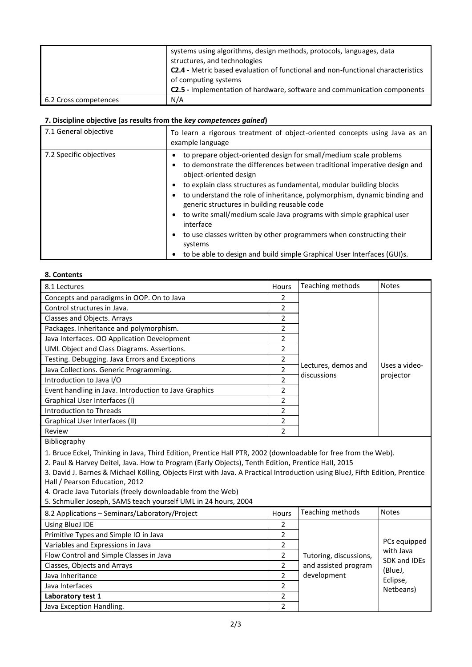|                       | systems using algorithms, design methods, protocols, languages, data<br>structures, and technologies<br><b>C2.4 - Metric based evaluation of functional and non-functional characteristics</b><br>of computing systems<br><b>C2.5</b> - Implementation of hardware, software and communication components |
|-----------------------|-----------------------------------------------------------------------------------------------------------------------------------------------------------------------------------------------------------------------------------------------------------------------------------------------------------|
| 6.2 Cross competences | N/A                                                                                                                                                                                                                                                                                                       |

#### **7. Discipline objective (as results from the** *key competences gained***)**

| 7.1 General objective   | To learn a rigorous treatment of object-oriented concepts using Java as an<br>example language                                                                                                                                                                                                                                                                                                                                                                                                                                                                                                                                                             |
|-------------------------|------------------------------------------------------------------------------------------------------------------------------------------------------------------------------------------------------------------------------------------------------------------------------------------------------------------------------------------------------------------------------------------------------------------------------------------------------------------------------------------------------------------------------------------------------------------------------------------------------------------------------------------------------------|
| 7.2 Specific objectives | to prepare object-oriented design for small/medium scale problems<br>to demonstrate the differences between traditional imperative design and<br>٠<br>object-oriented design<br>to explain class structures as fundamental, modular building blocks<br>٠<br>to understand the role of inheritance, polymorphism, dynamic binding and<br>٠<br>generic structures in building reusable code<br>to write small/medium scale Java programs with simple graphical user<br>٠<br>interface<br>to use classes written by other programmers when constructing their<br>٠<br>systems<br>to be able to design and build simple Graphical User Interfaces (GUI)s.<br>٠ |

### **8. Contents**

| 8.1 Lectures                                          | <b>Hours</b>   | Teaching methods    | <b>Notes</b>  |
|-------------------------------------------------------|----------------|---------------------|---------------|
| Concepts and paradigms in OOP. On to Java             | 2              |                     |               |
| Control structures in Java.                           | 2              |                     |               |
| Classes and Objects. Arrays                           | 2              |                     |               |
| Packages. Inheritance and polymorphism.               | 2              |                     |               |
| Java Interfaces. OO Application Development           | 2              |                     |               |
| UML Object and Class Diagrams. Assertions.            | 2              |                     |               |
| Testing. Debugging. Java Errors and Exceptions        | 2              |                     |               |
| Java Collections. Generic Programming.                | $\mathfrak{p}$ | Lectures, demos and | Uses a video- |
| Introduction to Java I/O                              | 2              | discussions         | projector     |
| Event handling in Java. Introduction to Java Graphics | 2              |                     |               |
| Graphical User Interfaces (I)                         | $\mathfrak{p}$ |                     |               |
| Introduction to Threads                               | $\mathfrak{p}$ |                     |               |
| Graphical User Interfaces (II)                        | 2              |                     |               |
| Review                                                | 2              |                     |               |

Bibliography

1. Bruce Eckel, Thinking in Java, Third Edition, Prentice Hall PTR, 2002 (downloadable for free from the Web).

2. Paul & Harvey Deitel, Java. How to Program (Early Objects), Tenth Edition, Prentice Hall, 2015

3. David J. Barnes & Michael Kölling, Objects First with Java. A Practical Introduction using BlueJ, Fifth Edition, Prentice Hall / Pearson Education, 2012

4. Oracle Java Tutorials (freely downloadable from the Web)

5. Schmuller Joseph, SAMS teach yourself UML in 24 hours, 2004

| 8.2 Applications - Seminars/Laboratory/Project | Hours         | Teaching methods       | <b>Notes</b>            |
|------------------------------------------------|---------------|------------------------|-------------------------|
| Using BlueJ IDE                                |               |                        |                         |
| Primitive Types and Simple IO in Java          |               |                        |                         |
| Variables and Expressions in Java              |               |                        | PCs equipped            |
| Flow Control and Simple Classes in Java        |               | Tutoring, discussions, | with Java               |
| Classes, Objects and Arrays                    |               | and assisted program   | SDK and IDEs<br>(BlueJ, |
| Java Inheritance                               | $\mathcal{P}$ | development            | Eclipse,                |
| Java Interfaces                                |               |                        | Netbeans)               |
| Laboratory test 1                              |               |                        |                         |
| Java Exception Handling.                       |               |                        |                         |